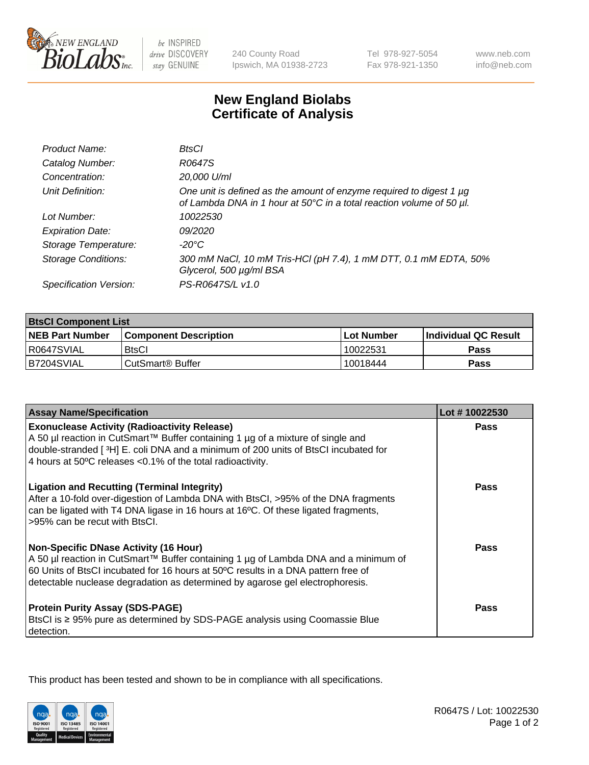

 $be$  INSPIRED drive DISCOVERY stay GENUINE

240 County Road Ipswich, MA 01938-2723 Tel 978-927-5054 Fax 978-921-1350

www.neb.com info@neb.com

## **New England Biolabs Certificate of Analysis**

| Product Name:              | BtsCl                                                                                                                                       |
|----------------------------|---------------------------------------------------------------------------------------------------------------------------------------------|
| Catalog Number:            | R0647S                                                                                                                                      |
| Concentration:             | 20,000 U/ml                                                                                                                                 |
| Unit Definition:           | One unit is defined as the amount of enzyme required to digest 1 µg<br>of Lambda DNA in 1 hour at 50°C in a total reaction volume of 50 µl. |
| Lot Number:                | 10022530                                                                                                                                    |
| <b>Expiration Date:</b>    | 09/2020                                                                                                                                     |
| Storage Temperature:       | -20°C                                                                                                                                       |
| <b>Storage Conditions:</b> | 300 mM NaCl, 10 mM Tris-HCl (pH 7.4), 1 mM DTT, 0.1 mM EDTA, 50%<br>Glycerol, 500 µg/ml BSA                                                 |
| Specification Version:     | PS-R0647S/L v1.0                                                                                                                            |

| <b>BtsCl Component List</b> |                              |            |                             |  |
|-----------------------------|------------------------------|------------|-----------------------------|--|
| <b>NEB Part Number</b>      | <b>Component Description</b> | Lot Number | <b>Individual QC Result</b> |  |
| R0647SVIAL                  | <b>BtsCl</b>                 | 10022531   | Pass                        |  |
| B7204SVIAL                  | CutSmart <sup>®</sup> Buffer | 10018444   | Pass                        |  |

| <b>Assay Name/Specification</b>                                                                                                                                                                                                                                                                           | Lot #10022530 |
|-----------------------------------------------------------------------------------------------------------------------------------------------------------------------------------------------------------------------------------------------------------------------------------------------------------|---------------|
| <b>Exonuclease Activity (Radioactivity Release)</b><br>A 50 µl reaction in CutSmart™ Buffer containing 1 µg of a mixture of single and                                                                                                                                                                    | Pass          |
| double-stranded [3H] E. coli DNA and a minimum of 200 units of BtsCl incubated for<br>4 hours at 50°C releases <0.1% of the total radioactivity.                                                                                                                                                          |               |
| <b>Ligation and Recutting (Terminal Integrity)</b><br>After a 10-fold over-digestion of Lambda DNA with BtsCl, >95% of the DNA fragments<br>can be ligated with T4 DNA ligase in 16 hours at 16°C. Of these ligated fragments,<br>>95% can be recut with BtsCl.                                           | Pass          |
| <b>Non-Specific DNase Activity (16 Hour)</b><br>A 50 µl reaction in CutSmart™ Buffer containing 1 µg of Lambda DNA and a minimum of<br>60 Units of BtsCl incubated for 16 hours at 50°C results in a DNA pattern free of<br>detectable nuclease degradation as determined by agarose gel electrophoresis. | Pass          |
| <b>Protein Purity Assay (SDS-PAGE)</b><br>BtsCl is ≥ 95% pure as determined by SDS-PAGE analysis using Coomassie Blue<br>detection.                                                                                                                                                                       | Pass          |

This product has been tested and shown to be in compliance with all specifications.